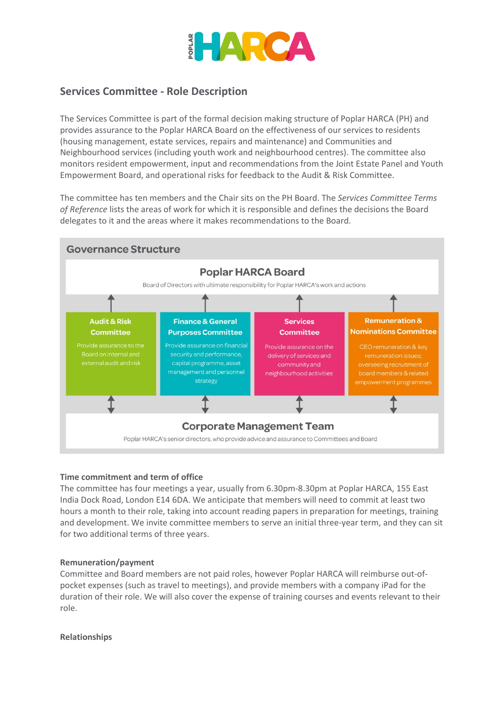

### **Services Committee - Role Description**

The Services Committee is part of the formal decision making structure of Poplar HARCA (PH) and provides assurance to the Poplar HARCA Board on the effectiveness of our services to residents (housing management, estate services, repairs and maintenance) and Communities and Neighbourhood services (including youth work and neighbourhood centres). The committee also monitors resident empowerment, input and recommendations from the Joint Estate Panel and Youth Empowerment Board, and operational risks for feedback to the Audit & Risk Committee.

The committee has ten members and the Chair sits on the PH Board. The *Services Committee Terms of Reference* lists the areas of work for which it is responsible and defines the decisions the Board delegates to it and the areas where it makes recommendations to the Board.



### **Time commitment and term of office**

The committee has four meetings a year, usually from 6.30pm-8.30pm at Poplar HARCA, 155 East India Dock Road, London E14 6DA. We anticipate that members will need to commit at least two hours a month to their role, taking into account reading papers in preparation for meetings, training and development. We invite committee members to serve an initial three-year term, and they can sit for two additional terms of three years.

### **Remuneration/payment**

Committee and Board members are not paid roles, however Poplar HARCA will reimburse out-ofpocket expenses (such as travel to meetings), and provide members with a company iPad for the duration of their role. We will also cover the expense of training courses and events relevant to their role.

### **Relationships**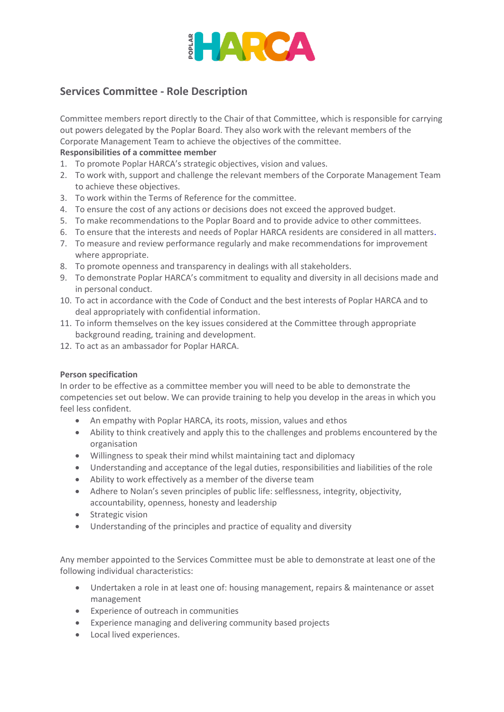

## **Services Committee - Role Description**

Committee members report directly to the Chair of that Committee, which is responsible for carrying out powers delegated by the Poplar Board. They also work with the relevant members of the Corporate Management Team to achieve the objectives of the committee.

### **Responsibilities of a committee member**

- 1. To promote Poplar HARCA's strategic objectives, vision and values.
- 2. To work with, support and challenge the relevant members of the Corporate Management Team to achieve these objectives.
- 3. To work within the Terms of Reference for the committee.
- 4. To ensure the cost of any actions or decisions does not exceed the approved budget.
- 5. To make recommendations to the Poplar Board and to provide advice to other committees.
- 6. To ensure that the interests and needs of Poplar HARCA residents are considered in all matters.
- 7. To measure and review performance regularly and make recommendations for improvement where appropriate.
- 8. To promote openness and transparency in dealings with all stakeholders.
- 9. To demonstrate Poplar HARCA's commitment to equality and diversity in all decisions made and in personal conduct.
- 10. To act in accordance with the Code of Conduct and the best interests of Poplar HARCA and to deal appropriately with confidential information.
- 11. To inform themselves on the key issues considered at the Committee through appropriate background reading, training and development.
- 12. To act as an ambassador for Poplar HARCA.

### **Person specification**

In order to be effective as a committee member you will need to be able to demonstrate the competencies set out below. We can provide training to help you develop in the areas in which you feel less confident.

- An empathy with Poplar HARCA, its roots, mission, values and ethos
- Ability to think creatively and apply this to the challenges and problems encountered by the organisation
- Willingness to speak their mind whilst maintaining tact and diplomacy
- Understanding and acceptance of the legal duties, responsibilities and liabilities of the role
- Ability to work effectively as a member of the diverse team
- Adhere to Nolan's seven principles of public life: selflessness, integrity, objectivity, accountability, openness, honesty and leadership
- Strategic vision
- Understanding of the principles and practice of equality and diversity

Any member appointed to the Services Committee must be able to demonstrate at least one of the following individual characteristics:

- Undertaken a role in at least one of: housing management, repairs & maintenance or asset management
- Experience of outreach in communities
- Experience managing and delivering community based projects
- Local lived experiences.